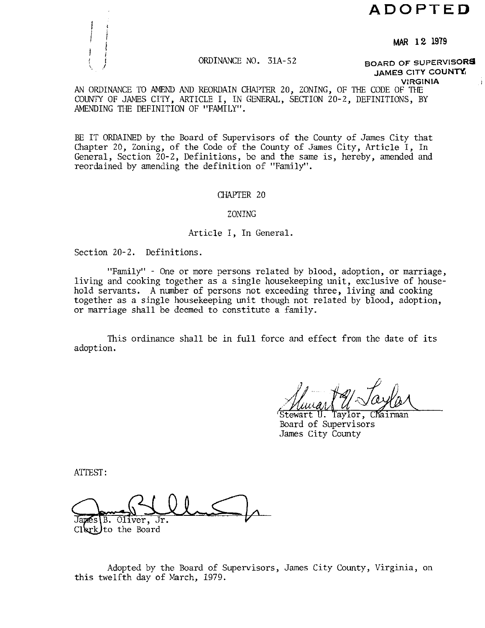# **ADOPTED**

**MAR 12 1979** 

### ORDINANCE NO. 31A-52

**BOARD OF SUPERVISORS JAMES CITY COUNTY** 

**VIRGINIA** 

AN ORDINANCE TO AMEM) AND REORDAIN CHAPTER 20, ZONING, OF THE CODE OF THE COUNTY OF JAMES CITY, ARTICLE I, IN GENERAL, SECTION 20-2, DEFINITIONS, BY AMENDING THE DEFINITION OF "FAMILY".

BE IT ORDAINED by the Board of Supervisors of the County of James City that Chapter 20, Zoning, of the Code of the County of James City, Article I, In General, Section 20-2, Definitions, be and the same is, hereby, amended and reordained by amending the definition of "Family".

#### CHAPTER 20

#### ZONING

Article I, In General.

Section 20-2. Definitions.

"Family" - One or more persons related by blood, adoption, or marriage, living and cooking together as a single housekeeping unit, exclusive of household servants. A number of persons not exceeding three, living and cooking together as a single housekeeping unit though not related by blood, adoption, or marriage shall be deemed to constitute a family.

This ordinance shall be in full force and effect from the date of its adoption.

Stewart U. Taylor, Chairman Board of Supervisors James City county

ATTEST :

B. Oliver, Jr.

 $Cl(xk)$  to the Board

Adopted by the Board of Supervisors, James City County, Virginia, on this twelfth day of March, 1979.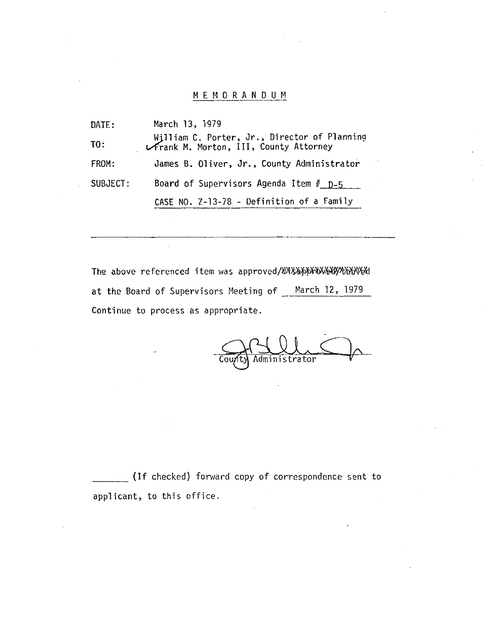## MEMORANDUM

DATE: March 13, 1979 William C. Porter, Jr., Director of Planning<br>TO: *2 Prank M. Morton, III, County Attorney*<br>FROM: **2** James B. Oliver, Jr., County Administrator James B. Oliver, Jr., County Administrator SUBJECT: Board of Supervisors Agenda Item  $#$   $D-5$ CASE NO. 2-13-78 - Definition of a Family

The above referenced item was approved/XIXY&~N~%%l at the Board of Supervisors Meeting of March 12, 1979 Continue to process as appropriate.

Administrator

(If checked) forward copy of correspondence sent to applicant, to this office.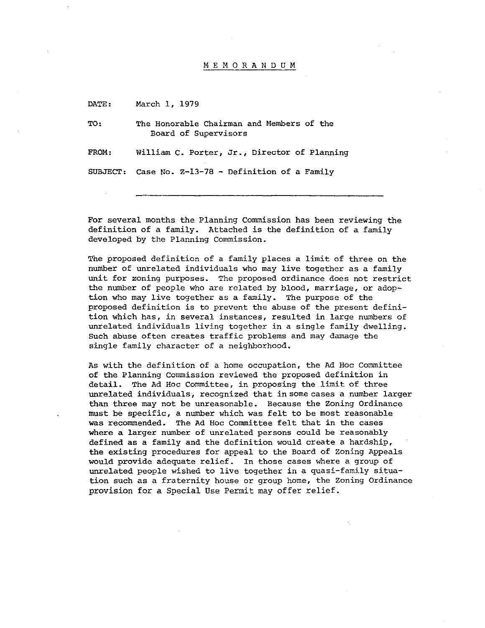#### MEMORANDUM

DATE: March 1, 1979

TO: The Honorable Chairman and Members of the Board of Supervisors

FROM: William C. Porter, Jr., Director of Planning

SUBJECT: Case No. 2-13-78 - Definition of a Family

For several months the Planning Commission has been reviewing the definition of a family. Attached is the definition of a family developed by the Planning Commission.

The proposed definition of a family places a limit of three on the number of unrelated individuals who may live together as a family unit for zoning purposes. The proposed ordinance does not restrict the number of people who are related by blood, marriage, or adoption who may live together as a family. The purpose of the proposed definition is to prevent the abuse of the present definition which has, in several instances, resulted in large numbers of unrelated individuals living together in a single family dwelling. Such abuse often creates traffic problems and may damage the single family character of a neighborhood.

As with the definition of a home occupation, the Ad Hoc Committee of the Planning Commission reviewed the proposed definition in detail. The Ad Hoc Committee, in proposing the limit of three unrelated individuals, recognized that insomecases a number larger than three may not be unreasonable. Because the Zoning Ordinance must be specific, a number which was felt to be most reasonable was recommended. The Ad Hoc Committee felt that in the cases where a larger number of unrelated persons could be reasonably defined as a family and the definition would create a hardship, the existing procedures for appeal to the Board of Zoning Appeals would provide adequate relief. In those cases where a group of unrelated people wished to live together in a quasi-family situation such as a fraternity house or group home, the Zoning Ordinance provision for a Special Use Permit may offer relief.